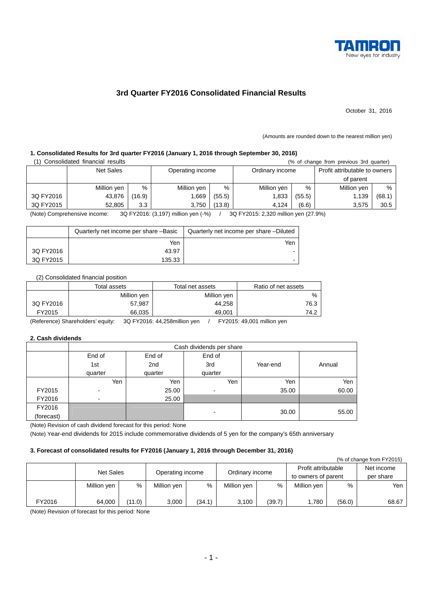

## **3rd Quarter FY2016 Consolidated Financial Results**

October 31, 2016

(Amounts are rounded down to the nearest million yen)

# **1. Consolidated Results for 3rd quarter FY2016 (January 1, 2016 through September 30, 2016)**

| Consolidated financial results<br>(% of change from previous 3rd quarter) |                  |                  |                  |        |                 |        |                               |        |  |  |
|---------------------------------------------------------------------------|------------------|------------------|------------------|--------|-----------------|--------|-------------------------------|--------|--|--|
|                                                                           | <b>Net Sales</b> |                  | Operating income |        | Ordinary income |        | Profit attributable to owners |        |  |  |
|                                                                           |                  |                  |                  |        |                 |        | of parent                     |        |  |  |
|                                                                           | Million yen      | %                | Million yen      | %      | Million yen     | %      | Million yen                   | $\%$   |  |  |
| 3Q FY2016                                                                 | 43,876           | (16.9)           | 1.669            | (55.5) | 1,833           | (55.5) | 1,139                         | (68.1) |  |  |
| 3Q FY2015                                                                 | 52.805           | 3.3 <sub>2</sub> | 3,750            | (13.8) | 4.124           | (6.6)  | 3,575                         | 30.5   |  |  |

(Note) Comprehensive income: 3Q FY2016: (3,197) million yen (-%) / 3Q FY2015: 2,320 million yen (27.9%)

|           | Quarterly net income per share -Basic | Quarterly net income per share -Diluted |
|-----------|---------------------------------------|-----------------------------------------|
|           | Yen                                   | Yen                                     |
| 3Q FY2016 | 43.97                                 |                                         |
| 3Q FY2015 | 135.33                                |                                         |

#### (2) Consolidated financial position

|           | Total assets | Total net assets | Ratio of net assets |
|-----------|--------------|------------------|---------------------|
|           | Million yen  | Million yen      | %                   |
| 3Q FY2016 | 57,987       | 44,258           | 76.3                |
| FY2015    | 66,035       | 49,001           | 74.2                |

(Reference) Shareholders' equity: 3Q FY2016: 44,258million yen / FY2015: 49,001 million yen

#### **2. Cash dividends**

|            | Cash dividends per share |                 |         |          |        |  |  |  |  |  |
|------------|--------------------------|-----------------|---------|----------|--------|--|--|--|--|--|
|            | End of                   | End of          | End of  |          |        |  |  |  |  |  |
|            | 1st                      | 2 <sub>nd</sub> | 3rd     | Year-end | Annual |  |  |  |  |  |
|            | quarter                  | quarter         | quarter |          |        |  |  |  |  |  |
|            | Yen                      | Yen             | Yen     | Yen      | Yen    |  |  |  |  |  |
| FY2015     | ۰                        | 25.00           | ٠       | 35.00    | 60.00  |  |  |  |  |  |
| FY2016     | $\overline{\phantom{a}}$ | 25.00           |         |          |        |  |  |  |  |  |
| FY2016     |                          |                 |         |          |        |  |  |  |  |  |
| (forecast) |                          |                 | -       | 30.00    | 55.00  |  |  |  |  |  |

(Note) Revision of cash dividend forecast for this period: None

(Note) Year-end dividends for 2015 include commemorative dividends of 5 yen for the company's 65th anniversary

#### **3. Forecast of consolidated results for FY2016 (January 1, 2016 through December 31, 2016)**

| (% of change from FY2015) |             |        |                  |        |                 |        |                     |        |            |
|---------------------------|-------------|--------|------------------|--------|-----------------|--------|---------------------|--------|------------|
|                           | Net Sales   |        | Operating income |        | Ordinary income |        | Profit attributable |        | Net income |
|                           |             |        |                  |        |                 |        | to owners of parent |        | per share  |
|                           | Million yen | %      | Million yen      | %      | Million yen     | %      | Million yen         | %      | Yen i      |
|                           |             |        |                  |        |                 |        |                     |        |            |
| FY2016                    | 64,000      | (11.0) | 3,000            | (34.1) | 3,100           | (39.7) | 1,780               | (56.0) | 68.67      |

(Note) Revision of forecast for this period: None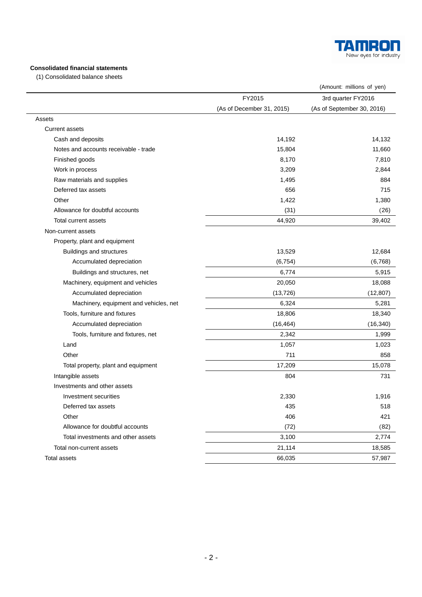

## **Consolidated financial statements**

(1) Consolidated balance sheets

| FY2015<br>3rd quarter FY2016<br>(As of December 31, 2015)<br>(As of September 30, 2016)<br>Assets<br><b>Current assets</b><br>14,192<br>Cash and deposits<br>Notes and accounts receivable - trade<br>15,804<br>Finished goods<br>8,170<br>3,209<br>Work in process<br>Raw materials and supplies<br>1,495<br>Deferred tax assets<br>656<br>Other<br>1,422<br>Allowance for doubtful accounts<br>(31)<br>44,920<br>Total current assets<br>Non-current assets<br>Property, plant and equipment<br><b>Buildings and structures</b><br>13,529<br>Accumulated depreciation<br>(6, 754)<br>6,774<br>Buildings and structures, net<br>Machinery, equipment and vehicles<br>20,050<br>Accumulated depreciation<br>(13, 726)<br>6,324<br>Machinery, equipment and vehicles, net<br>Tools, furniture and fixtures<br>18,806<br>Accumulated depreciation<br>(16, 464)<br>Tools, furniture and fixtures, net<br>2,342<br>1,057<br>Land<br>Other<br>711<br>17,209<br>Total property, plant and equipment<br>Intangible assets<br>804<br>Investments and other assets<br>Investment securities<br>2,330<br>1,916<br>Deferred tax assets<br>435<br>Other<br>406<br>Allowance for doubtful accounts<br>(72)<br>3,100<br>Total investments and other assets<br>Total non-current assets<br>21,114 |                     |        | (Amount: millions of yen) |
|------------------------------------------------------------------------------------------------------------------------------------------------------------------------------------------------------------------------------------------------------------------------------------------------------------------------------------------------------------------------------------------------------------------------------------------------------------------------------------------------------------------------------------------------------------------------------------------------------------------------------------------------------------------------------------------------------------------------------------------------------------------------------------------------------------------------------------------------------------------------------------------------------------------------------------------------------------------------------------------------------------------------------------------------------------------------------------------------------------------------------------------------------------------------------------------------------------------------------------------------------------------------------------|---------------------|--------|---------------------------|
|                                                                                                                                                                                                                                                                                                                                                                                                                                                                                                                                                                                                                                                                                                                                                                                                                                                                                                                                                                                                                                                                                                                                                                                                                                                                                    |                     |        |                           |
|                                                                                                                                                                                                                                                                                                                                                                                                                                                                                                                                                                                                                                                                                                                                                                                                                                                                                                                                                                                                                                                                                                                                                                                                                                                                                    |                     |        |                           |
|                                                                                                                                                                                                                                                                                                                                                                                                                                                                                                                                                                                                                                                                                                                                                                                                                                                                                                                                                                                                                                                                                                                                                                                                                                                                                    |                     |        |                           |
|                                                                                                                                                                                                                                                                                                                                                                                                                                                                                                                                                                                                                                                                                                                                                                                                                                                                                                                                                                                                                                                                                                                                                                                                                                                                                    |                     |        |                           |
|                                                                                                                                                                                                                                                                                                                                                                                                                                                                                                                                                                                                                                                                                                                                                                                                                                                                                                                                                                                                                                                                                                                                                                                                                                                                                    |                     |        | 14,132                    |
|                                                                                                                                                                                                                                                                                                                                                                                                                                                                                                                                                                                                                                                                                                                                                                                                                                                                                                                                                                                                                                                                                                                                                                                                                                                                                    |                     |        | 11,660                    |
|                                                                                                                                                                                                                                                                                                                                                                                                                                                                                                                                                                                                                                                                                                                                                                                                                                                                                                                                                                                                                                                                                                                                                                                                                                                                                    |                     |        | 7,810                     |
|                                                                                                                                                                                                                                                                                                                                                                                                                                                                                                                                                                                                                                                                                                                                                                                                                                                                                                                                                                                                                                                                                                                                                                                                                                                                                    |                     |        | 2,844                     |
|                                                                                                                                                                                                                                                                                                                                                                                                                                                                                                                                                                                                                                                                                                                                                                                                                                                                                                                                                                                                                                                                                                                                                                                                                                                                                    |                     |        | 884                       |
|                                                                                                                                                                                                                                                                                                                                                                                                                                                                                                                                                                                                                                                                                                                                                                                                                                                                                                                                                                                                                                                                                                                                                                                                                                                                                    |                     |        | 715                       |
|                                                                                                                                                                                                                                                                                                                                                                                                                                                                                                                                                                                                                                                                                                                                                                                                                                                                                                                                                                                                                                                                                                                                                                                                                                                                                    |                     |        | 1,380                     |
|                                                                                                                                                                                                                                                                                                                                                                                                                                                                                                                                                                                                                                                                                                                                                                                                                                                                                                                                                                                                                                                                                                                                                                                                                                                                                    |                     |        | (26)                      |
|                                                                                                                                                                                                                                                                                                                                                                                                                                                                                                                                                                                                                                                                                                                                                                                                                                                                                                                                                                                                                                                                                                                                                                                                                                                                                    |                     |        | 39,402                    |
|                                                                                                                                                                                                                                                                                                                                                                                                                                                                                                                                                                                                                                                                                                                                                                                                                                                                                                                                                                                                                                                                                                                                                                                                                                                                                    |                     |        |                           |
|                                                                                                                                                                                                                                                                                                                                                                                                                                                                                                                                                                                                                                                                                                                                                                                                                                                                                                                                                                                                                                                                                                                                                                                                                                                                                    |                     |        |                           |
|                                                                                                                                                                                                                                                                                                                                                                                                                                                                                                                                                                                                                                                                                                                                                                                                                                                                                                                                                                                                                                                                                                                                                                                                                                                                                    |                     |        | 12,684                    |
|                                                                                                                                                                                                                                                                                                                                                                                                                                                                                                                                                                                                                                                                                                                                                                                                                                                                                                                                                                                                                                                                                                                                                                                                                                                                                    |                     |        | (6,768)                   |
|                                                                                                                                                                                                                                                                                                                                                                                                                                                                                                                                                                                                                                                                                                                                                                                                                                                                                                                                                                                                                                                                                                                                                                                                                                                                                    |                     |        | 5,915                     |
|                                                                                                                                                                                                                                                                                                                                                                                                                                                                                                                                                                                                                                                                                                                                                                                                                                                                                                                                                                                                                                                                                                                                                                                                                                                                                    |                     |        | 18,088                    |
|                                                                                                                                                                                                                                                                                                                                                                                                                                                                                                                                                                                                                                                                                                                                                                                                                                                                                                                                                                                                                                                                                                                                                                                                                                                                                    |                     |        | (12, 807)                 |
|                                                                                                                                                                                                                                                                                                                                                                                                                                                                                                                                                                                                                                                                                                                                                                                                                                                                                                                                                                                                                                                                                                                                                                                                                                                                                    |                     |        | 5,281                     |
|                                                                                                                                                                                                                                                                                                                                                                                                                                                                                                                                                                                                                                                                                                                                                                                                                                                                                                                                                                                                                                                                                                                                                                                                                                                                                    |                     |        | 18,340                    |
|                                                                                                                                                                                                                                                                                                                                                                                                                                                                                                                                                                                                                                                                                                                                                                                                                                                                                                                                                                                                                                                                                                                                                                                                                                                                                    |                     |        | (16, 340)                 |
|                                                                                                                                                                                                                                                                                                                                                                                                                                                                                                                                                                                                                                                                                                                                                                                                                                                                                                                                                                                                                                                                                                                                                                                                                                                                                    |                     |        | 1,999                     |
|                                                                                                                                                                                                                                                                                                                                                                                                                                                                                                                                                                                                                                                                                                                                                                                                                                                                                                                                                                                                                                                                                                                                                                                                                                                                                    |                     |        | 1,023                     |
|                                                                                                                                                                                                                                                                                                                                                                                                                                                                                                                                                                                                                                                                                                                                                                                                                                                                                                                                                                                                                                                                                                                                                                                                                                                                                    |                     |        | 858                       |
|                                                                                                                                                                                                                                                                                                                                                                                                                                                                                                                                                                                                                                                                                                                                                                                                                                                                                                                                                                                                                                                                                                                                                                                                                                                                                    |                     |        | 15,078                    |
|                                                                                                                                                                                                                                                                                                                                                                                                                                                                                                                                                                                                                                                                                                                                                                                                                                                                                                                                                                                                                                                                                                                                                                                                                                                                                    |                     |        | 731                       |
|                                                                                                                                                                                                                                                                                                                                                                                                                                                                                                                                                                                                                                                                                                                                                                                                                                                                                                                                                                                                                                                                                                                                                                                                                                                                                    |                     |        |                           |
|                                                                                                                                                                                                                                                                                                                                                                                                                                                                                                                                                                                                                                                                                                                                                                                                                                                                                                                                                                                                                                                                                                                                                                                                                                                                                    |                     |        |                           |
|                                                                                                                                                                                                                                                                                                                                                                                                                                                                                                                                                                                                                                                                                                                                                                                                                                                                                                                                                                                                                                                                                                                                                                                                                                                                                    |                     |        | 518                       |
|                                                                                                                                                                                                                                                                                                                                                                                                                                                                                                                                                                                                                                                                                                                                                                                                                                                                                                                                                                                                                                                                                                                                                                                                                                                                                    |                     |        | 421                       |
|                                                                                                                                                                                                                                                                                                                                                                                                                                                                                                                                                                                                                                                                                                                                                                                                                                                                                                                                                                                                                                                                                                                                                                                                                                                                                    |                     |        | (82)                      |
|                                                                                                                                                                                                                                                                                                                                                                                                                                                                                                                                                                                                                                                                                                                                                                                                                                                                                                                                                                                                                                                                                                                                                                                                                                                                                    |                     |        | 2,774                     |
|                                                                                                                                                                                                                                                                                                                                                                                                                                                                                                                                                                                                                                                                                                                                                                                                                                                                                                                                                                                                                                                                                                                                                                                                                                                                                    |                     |        | 18,585                    |
|                                                                                                                                                                                                                                                                                                                                                                                                                                                                                                                                                                                                                                                                                                                                                                                                                                                                                                                                                                                                                                                                                                                                                                                                                                                                                    | <b>Total assets</b> | 66,035 | 57,987                    |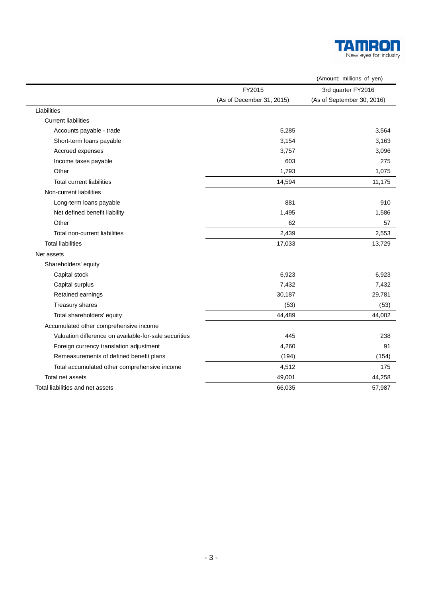

|                                                       |                           | (Amount: millions of yen)  |
|-------------------------------------------------------|---------------------------|----------------------------|
|                                                       | FY2015                    | 3rd quarter FY2016         |
|                                                       | (As of December 31, 2015) | (As of September 30, 2016) |
| Liabilities                                           |                           |                            |
| <b>Current liabilities</b>                            |                           |                            |
| Accounts payable - trade                              | 5,285                     | 3,564                      |
| Short-term loans payable                              | 3,154                     | 3,163                      |
| Accrued expenses                                      | 3,757                     | 3,096                      |
| Income taxes payable                                  | 603                       | 275                        |
| Other                                                 | 1,793                     | 1,075                      |
| <b>Total current liabilities</b>                      | 14,594                    | 11,175                     |
| Non-current liabilities                               |                           |                            |
| Long-term loans payable                               | 881                       | 910                        |
| Net defined benefit liability                         | 1,495                     | 1,586                      |
| Other                                                 | 62                        | 57                         |
| Total non-current liabilities                         | 2,439                     | 2,553                      |
| <b>Total liabilities</b>                              | 17,033                    | 13,729                     |
| Net assets                                            |                           |                            |
| Shareholders' equity                                  |                           |                            |
| Capital stock                                         | 6,923                     | 6,923                      |
| Capital surplus                                       | 7,432                     | 7,432                      |
| Retained earnings                                     | 30,187                    | 29,781                     |
| Treasury shares                                       | (53)                      | (53)                       |
| Total shareholders' equity                            | 44,489                    | 44,082                     |
| Accumulated other comprehensive income                |                           |                            |
| Valuation difference on available-for-sale securities | 445                       | 238                        |
| Foreign currency translation adjustment               | 4,260                     | 91                         |
| Remeasurements of defined benefit plans               | (194)                     | (154)                      |
| Total accumulated other comprehensive income          | 4,512                     | 175                        |
| Total net assets                                      | 49,001                    | 44,258                     |
| Total liabilities and net assets                      | 66,035                    | 57,987                     |

÷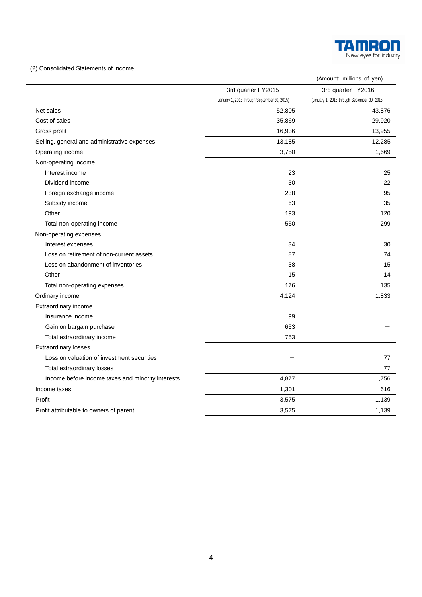

### (2) Consolidated Statements of income

|                                                   |                                              | (Amount: millions of yen)                    |
|---------------------------------------------------|----------------------------------------------|----------------------------------------------|
|                                                   | 3rd quarter FY2015                           | 3rd quarter FY2016                           |
|                                                   | (January 1, 2015 through September 30, 2015) | (January 1, 2016 through September 30, 2016) |
| Net sales                                         | 52,805                                       | 43,876                                       |
| Cost of sales                                     | 35,869                                       | 29,920                                       |
| Gross profit                                      | 16,936                                       | 13,955                                       |
| Selling, general and administrative expenses      | 13,185                                       | 12,285                                       |
| Operating income                                  | 3,750                                        | 1,669                                        |
| Non-operating income                              |                                              |                                              |
| Interest income                                   | 23                                           | 25                                           |
| Dividend income                                   | 30                                           | 22                                           |
| Foreign exchange income                           | 238                                          | 95                                           |
| Subsidy income                                    | 63                                           | 35                                           |
| Other                                             | 193                                          | 120                                          |
| Total non-operating income                        | 550                                          | 299                                          |
| Non-operating expenses                            |                                              |                                              |
| Interest expenses                                 | 34                                           | 30                                           |
| Loss on retirement of non-current assets          | 87                                           | 74                                           |
| Loss on abandonment of inventories                | 38                                           | 15                                           |
| Other                                             | 15                                           | 14                                           |
| Total non-operating expenses                      | 176                                          | 135                                          |
| Ordinary income                                   | 4,124                                        | 1,833                                        |
| Extraordinary income                              |                                              |                                              |
| Insurance income                                  | 99                                           |                                              |
| Gain on bargain purchase                          | 653                                          |                                              |
| Total extraordinary income                        | 753                                          |                                              |
| <b>Extraordinary losses</b>                       |                                              |                                              |
| Loss on valuation of investment securities        |                                              | 77                                           |
| Total extraordinary losses                        |                                              | 77                                           |
| Income before income taxes and minority interests | 4,877                                        | 1,756                                        |
| Income taxes                                      | 1,301                                        | 616                                          |
| Profit                                            | 3,575                                        | 1,139                                        |
| Profit attributable to owners of parent           | 3,575                                        | 1,139                                        |
|                                                   |                                              |                                              |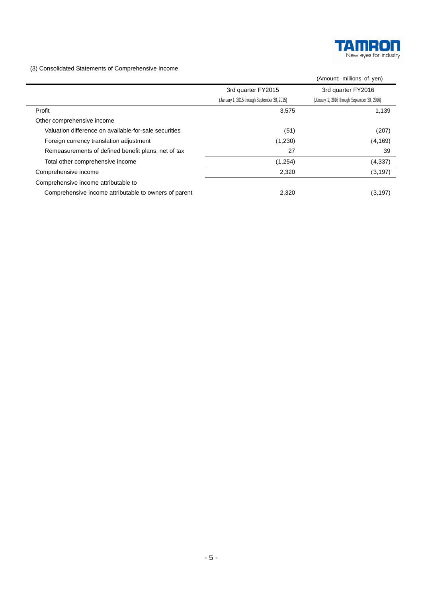

(3) Consolidated Statements of Comprehensive Income

|                                                       |                                              | (Amount: millions of yen)                    |
|-------------------------------------------------------|----------------------------------------------|----------------------------------------------|
|                                                       | 3rd quarter FY2015                           | 3rd quarter FY2016                           |
|                                                       | (January 1, 2015 through September 30, 2015) | (January 1, 2016 through September 30, 2016) |
| Profit                                                | 3,575                                        | 1,139                                        |
| Other comprehensive income                            |                                              |                                              |
| Valuation difference on available-for-sale securities | (51)                                         | (207)                                        |
| Foreign currency translation adjustment               | (1,230)                                      | (4, 169)                                     |
| Remeasurements of defined benefit plans, net of tax   | 27                                           | 39                                           |
| Total other comprehensive income                      | (1,254)                                      | (4, 337)                                     |
| Comprehensive income                                  | 2,320                                        | (3, 197)                                     |
| Comprehensive income attributable to                  |                                              |                                              |
| Comprehensive income attributable to owners of parent | 2,320                                        | (3, 197)                                     |
|                                                       |                                              |                                              |